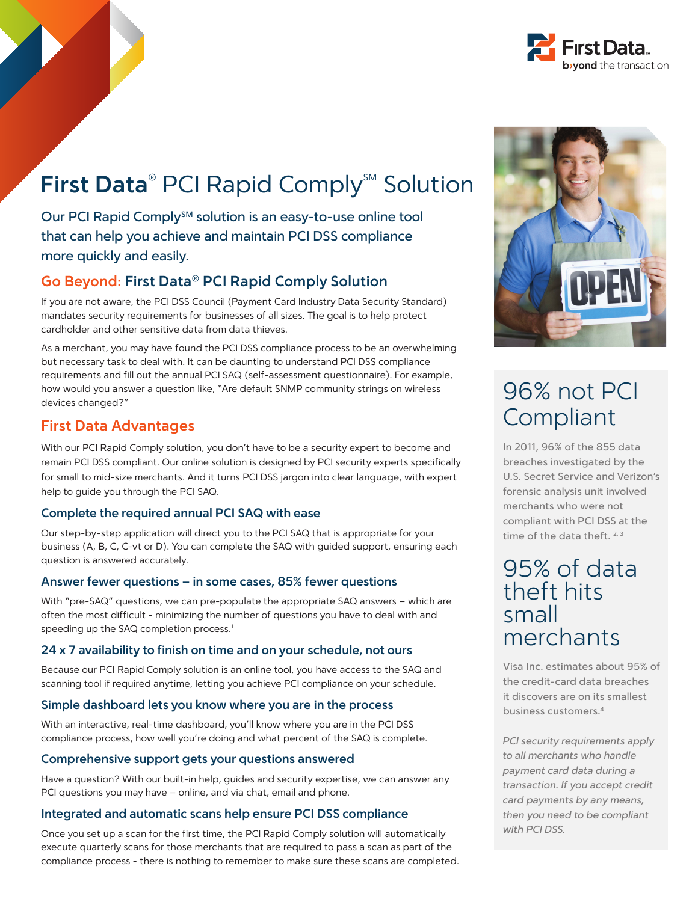

# First Data<sup>®</sup> PCI Rapid Comply<sup>5M</sup> Solution

Our PCI Rapid Comply<sup>SM</sup> solution is an easy-to-use online tool that can help you achieve and maintain PCI DSS compliance more quickly and easily.

## **Go Beyond: First Data® PCI Rapid Comply Solution**

If you are not aware, the PCI DSS Council (Payment Card Industry Data Security Standard) mandates security requirements for businesses of all sizes. The goal is to help protect cardholder and other sensitive data from data thieves.

As a merchant, you may have found the PCI DSS compliance process to be an overwhelming but necessary task to deal with. It can be daunting to understand PCI DSS compliance requirements and fill out the annual PCI SAQ (self-assessment questionnaire). For example, how would you answer a question like, "Are default SNMP community strings on wireless devices changed?"

### **First Data Advantages**

With our PCI Rapid Comply solution, you don't have to be a security expert to become and remain PCI DSS compliant. Our online solution is designed by PCI security experts specifically for small to mid-size merchants. And it turns PCI DSS jargon into clear language, with expert help to guide you through the PCI SAQ.

### **Complete the required annual PCI SAQ with ease**

Our step-by-step application will direct you to the PCI SAQ that is appropriate for your business (A, B, C, C-vt or D). You can complete the SAQ with guided support, ensuring each question is answered accurately.

### **Answer fewer questions – in some cases, 85% fewer questions**

With "pre-SAQ" questions, we can pre-populate the appropriate SAQ answers – which are often the most difficult - minimizing the number of questions you have to deal with and speeding up the SAQ completion process.<sup>1</sup>

### **24 x 7 availability to finish on time and on your schedule, not ours**

Because our PCI Rapid Comply solution is an online tool, you have access to the SAQ and scanning tool if required anytime, letting you achieve PCI compliance on your schedule.

### **Simple dashboard lets you know where you are in the process**

With an interactive, real-time dashboard, you'll know where you are in the PCI DSS compliance process, how well you're doing and what percent of the SAQ is complete.

### **Comprehensive support gets your questions answered**

Have a question? With our built-in help, guides and security expertise, we can answer any PCI questions you may have – online, and via chat, email and phone.

### **Integrated and automatic scans help ensure PCI DSS compliance**

Once you set up a scan for the first time, the PCI Rapid Comply solution will automatically execute quarterly scans for those merchants that are required to pass a scan as part of the compliance process - there is nothing to remember to make sure these scans are completed.



## 96% not PCI Compliant

In 2011, 96% of the 855 data breaches investigated by the U.S. Secret Service and Verizon's forensic analysis unit involved merchants who were not compliant with PCI DSS at the time of the data theft.  $2,3$ 

## 95% of data theft hits small merchants

Visa Inc. estimates about 95% of the credit-card data breaches it discovers are on its smallest business customers.4

PCI security requirements apply to all merchants who handle payment card data during a transaction. If you accept credit card payments by any means, then you need to be compliant with PCI DSS.